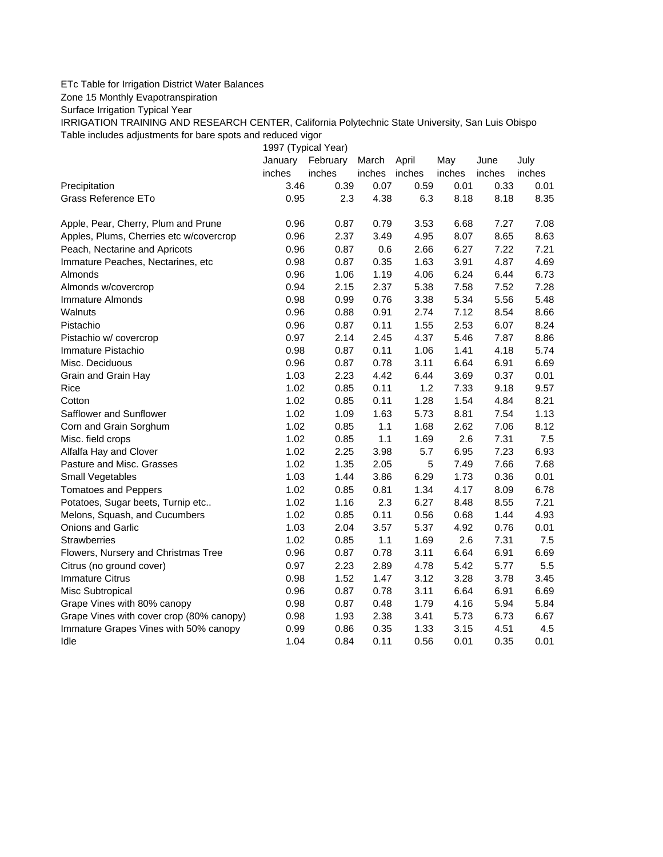## ETc Table for Irrigation District Water Balances

Zone 15 Monthly Evapotranspiration

Surface Irrigation Typical Year

IRRIGATION TRAINING AND RESEARCH CENTER, California Polytechnic State University, San Luis Obispo Table includes adjustments for bare spots and reduced vigor

1997 (Typical Year)

|                                          | January | February | March  | April  | May    | June   | July   |
|------------------------------------------|---------|----------|--------|--------|--------|--------|--------|
|                                          | inches  | inches   | inches | inches | inches | inches | inches |
| Precipitation                            | 3.46    | 0.39     | 0.07   | 0.59   | 0.01   | 0.33   | 0.01   |
| Grass Reference ETo                      | 0.95    | 2.3      | 4.38   | 6.3    | 8.18   | 8.18   | 8.35   |
| Apple, Pear, Cherry, Plum and Prune      | 0.96    | 0.87     | 0.79   | 3.53   | 6.68   | 7.27   | 7.08   |
| Apples, Plums, Cherries etc w/covercrop  | 0.96    | 2.37     | 3.49   | 4.95   | 8.07   | 8.65   | 8.63   |
| Peach, Nectarine and Apricots            | 0.96    | 0.87     | 0.6    | 2.66   | 6.27   | 7.22   | 7.21   |
| Immature Peaches, Nectarines, etc.       | 0.98    | 0.87     | 0.35   | 1.63   | 3.91   | 4.87   | 4.69   |
| Almonds                                  | 0.96    | 1.06     | 1.19   | 4.06   | 6.24   | 6.44   | 6.73   |
| Almonds w/covercrop                      | 0.94    | 2.15     | 2.37   | 5.38   | 7.58   | 7.52   | 7.28   |
| Immature Almonds                         | 0.98    | 0.99     | 0.76   | 3.38   | 5.34   | 5.56   | 5.48   |
| Walnuts                                  | 0.96    | 0.88     | 0.91   | 2.74   | 7.12   | 8.54   | 8.66   |
| Pistachio                                | 0.96    | 0.87     | 0.11   | 1.55   | 2.53   | 6.07   | 8.24   |
| Pistachio w/ covercrop                   | 0.97    | 2.14     | 2.45   | 4.37   | 5.46   | 7.87   | 8.86   |
| Immature Pistachio                       | 0.98    | 0.87     | 0.11   | 1.06   | 1.41   | 4.18   | 5.74   |
| Misc. Deciduous                          | 0.96    | 0.87     | 0.78   | 3.11   | 6.64   | 6.91   | 6.69   |
| Grain and Grain Hay                      | 1.03    | 2.23     | 4.42   | 6.44   | 3.69   | 0.37   | 0.01   |
| Rice                                     | 1.02    | 0.85     | 0.11   | 1.2    | 7.33   | 9.18   | 9.57   |
| Cotton                                   | 1.02    | 0.85     | 0.11   | 1.28   | 1.54   | 4.84   | 8.21   |
| Safflower and Sunflower                  | 1.02    | 1.09     | 1.63   | 5.73   | 8.81   | 7.54   | 1.13   |
| Corn and Grain Sorghum                   | 1.02    | 0.85     | 1.1    | 1.68   | 2.62   | 7.06   | 8.12   |
| Misc. field crops                        | 1.02    | 0.85     | 1.1    | 1.69   | 2.6    | 7.31   | 7.5    |
| Alfalfa Hay and Clover                   | 1.02    | 2.25     | 3.98   | 5.7    | 6.95   | 7.23   | 6.93   |
| Pasture and Misc. Grasses                | 1.02    | 1.35     | 2.05   | 5      | 7.49   | 7.66   | 7.68   |
| Small Vegetables                         | 1.03    | 1.44     | 3.86   | 6.29   | 1.73   | 0.36   | 0.01   |
| <b>Tomatoes and Peppers</b>              | 1.02    | 0.85     | 0.81   | 1.34   | 4.17   | 8.09   | 6.78   |
| Potatoes, Sugar beets, Turnip etc        | 1.02    | 1.16     | 2.3    | 6.27   | 8.48   | 8.55   | 7.21   |
| Melons, Squash, and Cucumbers            | 1.02    | 0.85     | 0.11   | 0.56   | 0.68   | 1.44   | 4.93   |
| Onions and Garlic                        | 1.03    | 2.04     | 3.57   | 5.37   | 4.92   | 0.76   | 0.01   |
| <b>Strawberries</b>                      | 1.02    | 0.85     | $1.1$  | 1.69   | 2.6    | 7.31   | 7.5    |
| Flowers, Nursery and Christmas Tree      | 0.96    | 0.87     | 0.78   | 3.11   | 6.64   | 6.91   | 6.69   |
| Citrus (no ground cover)                 | 0.97    | 2.23     | 2.89   | 4.78   | 5.42   | 5.77   | 5.5    |
| <b>Immature Citrus</b>                   | 0.98    | 1.52     | 1.47   | 3.12   | 3.28   | 3.78   | 3.45   |
| Misc Subtropical                         | 0.96    | 0.87     | 0.78   | 3.11   | 6.64   | 6.91   | 6.69   |
| Grape Vines with 80% canopy              | 0.98    | 0.87     | 0.48   | 1.79   | 4.16   | 5.94   | 5.84   |
| Grape Vines with cover crop (80% canopy) | 0.98    | 1.93     | 2.38   | 3.41   | 5.73   | 6.73   | 6.67   |
| Immature Grapes Vines with 50% canopy    | 0.99    | 0.86     | 0.35   | 1.33   | 3.15   | 4.51   | 4.5    |
| Idle                                     | 1.04    | 0.84     | 0.11   | 0.56   | 0.01   | 0.35   | 0.01   |